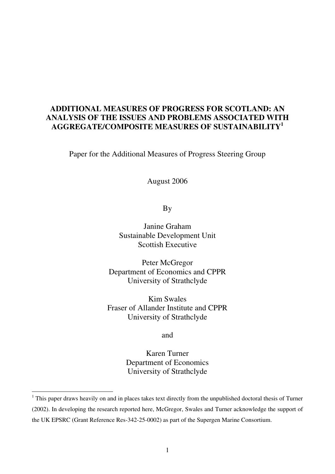# **ADDITIONAL MEASURES OF PROGRESS FOR SCOTLAND: AN ANALYSIS OF THE ISSUES AND PROBLEMS ASSOCIATED WITH AGGREGATE/COMPOSITE MEASURES OF SUSTAINABILITY<sup>1</sup>**

Paper for the Additional Measures of Progress Steering Group

August 2006

By

Janine Graham Sustainable Development Unit Scottish Executive

Peter McGregor Department of Economics and CPPR University of Strathclyde

Kim Swales Fraser of Allander Institute and CPPR University of Strathclyde

and

Karen Turner Department of Economics University of Strathclyde

 $\overline{a}$ 

<sup>&</sup>lt;sup>1</sup> This paper draws heavily on and in places takes text directly from the unpublished doctoral thesis of Turner (2002). In developing the research reported here, McGregor, Swales and Turner acknowledge the support of the UK EPSRC (Grant Reference Res-342-25-0002) as part of the Supergen Marine Consortium.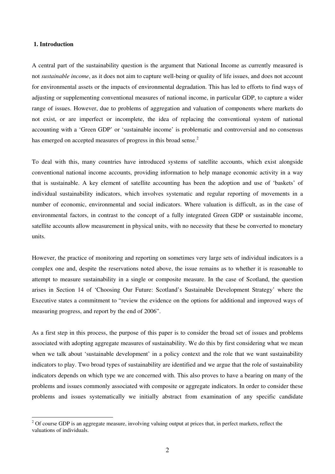## **1. Introduction**

 $\overline{a}$ 

A central part of the sustainability question is the argument that National Income as currently measured is not *sustainable income*, as it does not aim to capture well-being or quality of life issues, and does not account for environmental assets or the impacts of environmental degradation. This has led to efforts to find ways of adjusting or supplementing conventional measures of national income, in particular GDP, to capture a wider range of issues. However, due to problems of aggregation and valuation of components where markets do not exist, or are imperfect or incomplete, the idea of replacing the conventional system of national accounting with a 'Green GDP' or 'sustainable income' is problematic and controversial and no consensus has emerged on accepted measures of progress in this broad sense.<sup>2</sup>

To deal with this, many countries have introduced systems of satellite accounts, which exist alongside conventional national income accounts, providing information to help manage economic activity in a way that is sustainable. A key element of satellite accounting has been the adoption and use of 'baskets' of individual sustainability indicators, which involves systematic and regular reporting of movements in a number of economic, environmental and social indicators. Where valuation is difficult, as in the case of environmental factors, in contrast to the concept of a fully integrated Green GDP or sustainable income, satellite accounts allow measurement in physical units, with no necessity that these be converted to monetary units.

However, the practice of monitoring and reporting on sometimes very large sets of individual indicators is a complex one and, despite the reservations noted above, the issue remains as to whether it is reasonable to attempt to measure sustainability in a single or composite measure. In the case of Scotland, the question arises in Section 14 of 'Choosing Our Future: Scotland's Sustainable Development Strategy' where the Executive states a commitment to "review the evidence on the options for additional and improved ways of measuring progress, and report by the end of 2006".

As a first step in this process, the purpose of this paper is to consider the broad set of issues and problems associated with adopting aggregate measures of sustainability. We do this by first considering what we mean when we talk about 'sustainable development' in a policy context and the role that we want sustainability indicators to play. Two broad types of sustainability are identified and we argue that the role of sustainability indicators depends on which type we are concerned with. This also proves to have a bearing on many of the problems and issues commonly associated with composite or aggregate indicators. In order to consider these problems and issues systematically we initially abstract from examination of any specific candidate

 $2^{2}$  Of course GDP is an aggregate measure, involving valuing output at prices that, in perfect markets, reflect the valuations of individuals.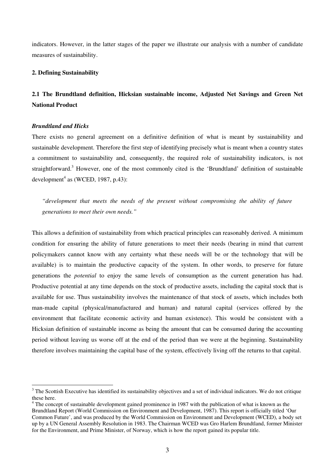indicators. However, in the latter stages of the paper we illustrate our analysis with a number of candidate measures of sustainability.

#### **2. Defining Sustainability**

# **2.1 The Brundtland definition, Hicksian sustainable income, Adjusted Net Savings and Green Net National Product**

## *Brundtland and Hicks*

There exists no general agreement on a definitive definition of what is meant by sustainability and sustainable development. Therefore the first step of identifying precisely what is meant when a country states a commitment to sustainability and, consequently, the required role of sustainability indicators, is not straightforward.<sup>3</sup> However, one of the most commonly cited is the 'Brundtland' definition of sustainable development<sup>4</sup> as (WCED, 1987, p.43):

*"development that meets the needs of the present without compromising the ability of future generations to meet their own needs."* 

This allows a definition of sustainability from which practical principles can reasonably derived. A minimum condition for ensuring the ability of future generations to meet their needs (bearing in mind that current policymakers cannot know with any certainty what these needs will be or the technology that will be available) is to maintain the productive capacity of the system. In other words, to preserve for future generations the *potential* to enjoy the same levels of consumption as the current generation has had. Productive potential at any time depends on the stock of productive assets, including the capital stock that is available for use. Thus sustainability involves the maintenance of that stock of assets, which includes both man-made capital (physical/manufactured and human) and natural capital (services offered by the environment that facilitate economic activity and human existence). This would be consistent with a Hicksian definition of sustainable income as being the amount that can be consumed during the accounting period without leaving us worse off at the end of the period than we were at the beginning. Sustainability therefore involves maintaining the capital base of the system, effectively living off the returns to that capital.

<sup>&</sup>lt;sup>3</sup> The Scottish Executive has identified its sustainability objectives and a set of individual indicators. We do not critique these here.

<sup>&</sup>lt;sup>4</sup> The concept of sustainable development gained prominence in 1987 with the publication of what is known as the Brundtland Report (World Commission on Environment and Development, 1987). This report is officially titled 'Our Common Future', and was produced by the World Commission on Environment and Development (WCED), a body set up by a UN General Assembly Resolution in 1983. The Chairman WCED was Gro Harlem Brundtland, former Minister for the Environment, and Prime Minister, of Norway, which is how the report gained its popular title.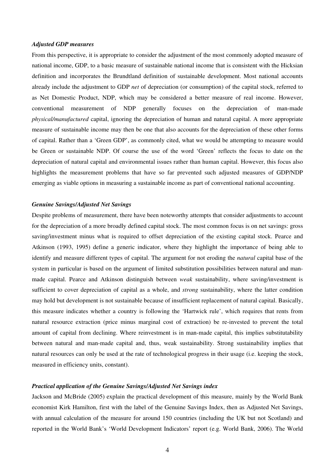#### *Adjusted GDP measures*

From this perspective, it is appropriate to consider the adjustment of the most commonly adopted measure of national income, GDP, to a basic measure of sustainable national income that is consistent with the Hicksian definition and incorporates the Brundtland definition of sustainable development. Most national accounts already include the adjustment to GDP *net* of depreciation (or consumption) of the capital stock, referred to as Net Domestic Product, NDP, which may be considered a better measure of real income. However, conventional measurement of NDP generally focuses on the depreciation of man-made *physical/manufactured* capital, ignoring the depreciation of human and natural capital. A more appropriate measure of sustainable income may then be one that also accounts for the depreciation of these other forms of capital. Rather than a 'Green GDP', as commonly cited, what we would be attempting to measure would be Green or sustainable NDP. Of course the use of the word 'Green' reflects the focus to date on the depreciation of natural capital and environmental issues rather than human capital. However, this focus also highlights the measurement problems that have so far prevented such adjusted measures of GDP/NDP emerging as viable options in measuring a sustainable income as part of conventional national accounting.

## *Genuine Savings/Adjusted Net Savings*

Despite problems of measurement, there have been noteworthy attempts that consider adjustments to account for the depreciation of a more broadly defined capital stock. The most common focus is on net savings: gross saving/investment minus what is required to offset depreciation of the existing capital stock. Pearce and Atkinson (1993, 1995) define a generic indicator, where they highlight the importance of being able to identify and measure different types of capital. The argument for not eroding the *natural* capital base of the system in particular is based on the argument of limited substitution possibilities between natural and manmade capital. Pearce and Atkinson distinguish between *weak* sustainability, where saving/investment is sufficient to cover depreciation of capital as a whole, and *strong* sustainability, where the latter condition may hold but development is not sustainable because of insufficient replacement of natural capital. Basically, this measure indicates whether a country is following the 'Hartwick rule', which requires that rents from natural resource extraction (price minus marginal cost of extraction) be re-invested to prevent the total amount of capital from declining. Where reinvestment is in man-made capital, this implies substitutability between natural and man-made capital and, thus, weak sustainability. Strong sustainability implies that natural resources can only be used at the rate of technological progress in their usage (i.e. keeping the stock, measured in efficiency units, constant).

# *Practical application of the Genuine Savings/Adjusted Net Savings index*

Jackson and McBride (2005) explain the practical development of this measure, mainly by the World Bank economist Kirk Hamilton, first with the label of the Genuine Savings Index, then as Adjusted Net Savings, with annual calculation of the measure for around 150 countries (including the UK but not Scotland) and reported in the World Bank's 'World Development Indicators' report (e.g. World Bank, 2006). The World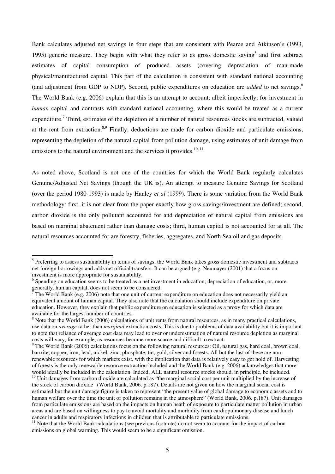Bank calculates adjusted net savings in four steps that are consistent with Pearce and Atkinson's (1993, 1995) generic measure. They begin with what they refer to as gross domestic saving<sup>5</sup> and first subtract estimates of capital consumption of produced assets (covering depreciation of man-made physical/manufactured capital. This part of the calculation is consistent with standard national accounting (and adjustment from GDP to NDP). Second, public expenditures on education are *added* to net savings.<sup>6</sup> The World Bank (e.g. 2006) explain that this is an attempt to account, albeit imperfectly, for investment in *human* capital and contrasts with standard national accounting, where this would be treated as a current expenditure.<sup>7</sup> Third, estimates of the depletion of a number of natural resources stocks are subtracted, valued at the rent from extraction.<sup>8,9</sup> Finally, deductions are made for carbon dioxide and particulate emissions, representing the depletion of the natural capital from pollution damage, using estimates of unit damage from emissions to the natural environment and the services it provides.<sup>10, 11</sup>

As noted above, Scotland is not one of the countries for which the World Bank regularly calculates Genuine/Adjusted Net Savings (though the UK is). An attempt to measure Genuine Savings for Scotland (over the period 1980-1993) is made by Hanley *et al* (1999). There is some variation from the World Bank methodology: first, it is not clear from the paper exactly how gross savings/investment are defined; second, carbon dioxide is the only pollutant accounted for and depreciation of natural capital from emissions are based on marginal abatement rather than damage costs; third, human capital is not accounted for at all. The natural resources accounted for are forestry, fisheries, aggregates, and North Sea oil and gas deposits.

<sup>&</sup>lt;sup>5</sup> Preferring to assess sustainability in terms of savings, the World Bank takes gross domestic investment and subtracts net foreign borrowings and adds net official transfers. It can be argued (e.g. Neumayer (2001) that a focus on investment is more appropriate for sustainability.

<sup>&</sup>lt;sup>6</sup> Spending on education seems to be treated as a net investment in education; depreciation of education, or, more generally, human capital, does not seem to be considered.<br> $\frac{7}{7}$ The World Bank (e.g. 2006) note that one unit of current

The World Bank (e.g. 2006) note that one unit of current expenditure on education does not necessarily yield an equivalent amount of human capital. They also note that the calculation should include expenditure on private education. However, they explain that public expenditure on education is selected as a proxy for which data are available for the largest number of countries.

 $8$  Note that the World Bank (2006) calculations of unit rents from natural resources, as in many practical calculations, use data on *average* rather than *marginal* extraction costs. This is due to problems of data availability but it is important to note that reliance of average cost data may lead to over or underestimation of natural resource depletion as marginal

costs will vary, for example, as resources become more scarce and difficult to extract.<br><sup>9</sup> The World Bank (2006) calculations focus on the following natural resources: Oil, natural gas, hard coal, brown coal, bauxite, copper, iron, lead, nickel, zinc, phosphate, tin, gold, silver and forests. All but the last of these are nonrenewable resources for which markets exist, with the implication that data is relatively easy to get hold of. Harvesting of forests is the only renewable resource extraction included and the World Bank (e.g. 2006) acknowledges that more would ideally be included in the calculation. Indeed, ALL natural resource stocks should, in principle, be included.

 $10$  Unit damages from carbon dioxide are calculated as "the marginal social cost per unit multiplied by the increase of the stock of carbon dioxide" (World Bank, 2006. p.187). Details are not given on how the marginal social cost is estimated but the unit damage figure is taken to represent "the present value of global damage to economic assets and to human welfare over the time the unit of pollution remains in the atmosphere" (World Bank, 2006. p.187). Unit damages from particulate emissions are based on the impacts on human heath of exposure to particulate matter pollution in urban areas and are based on willingness to pay to avoid mortality and morbidity from cardiopulmonary disease and lunch cancer in adults and respiratory infections in children that is attributable to particulate emissions.

<sup>&</sup>lt;sup>11</sup> Note that the World Bank calculations (see previous footnote) do not seem to account for the impact of carbon emissions on global warming. This would seem to be a significant omission.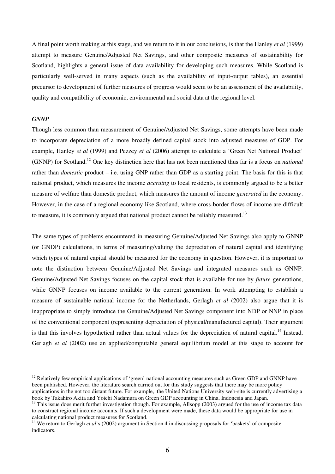A final point worth making at this stage, and we return to it in our conclusions, is that the Hanley *et al* (1999) attempt to measure Genuine/Adjusted Net Savings, and other composite measures of sustainability for Scotland, highlights a general issue of data availability for developing such measures. While Scotland is particularly well-served in many aspects (such as the availability of input-output tables), an essential precursor to development of further measures of progress would seem to be an assessment of the availability, quality and compatibility of economic, environmental and social data at the regional level.

## *GNNP*

 $\overline{a}$ 

Though less common than measurement of Genuine/Adjusted Net Savings, some attempts have been made to incorporate depreciation of a more broadly defined capital stock into adjusted measures of GDP. For example, Hanley *et al* (1999) and Pezzey *et al* (2006) attempt to calculate a 'Green Net National Product' (GNNP) for Scotland.<sup>12</sup> One key distinction here that has not been mentioned thus far is a focus on *national* rather than *domestic* product – i.e. using GNP rather than GDP as a starting point. The basis for this is that national product, which measures the income *accruing* to local residents, is commonly argued to be a better measure of welfare than domestic product, which measures the amount of income *generated* in the economy. However, in the case of a regional economy like Scotland, where cross-border flows of income are difficult to measure, it is commonly argued that national product cannot be reliably measured.<sup>13</sup>

The same types of problems encountered in measuring Genuine/Adjusted Net Savings also apply to GNNP (or GNDP) calculations, in terms of measuring/valuing the depreciation of natural capital and identifying which types of natural capital should be measured for the economy in question. However, it is important to note the distinction between Genuine/Adjusted Net Savings and integrated measures such as GNNP. Genuine/Adjusted Net Savings focuses on the capital stock that is available for use by *future* generations, while GNNP focuses on income available to the current generation. In work attempting to establish a measure of sustainable national income for the Netherlands, Gerlagh *et al* (2002) also argue that it is inappropriate to simply introduce the Genuine/Adjusted Net Savings component into NDP or NNP in place of the conventional component (representing depreciation of physical/manufactured capital). Their argument is that this involves hypothetical rather than actual values for the depreciation of natural capital.<sup>14</sup> Instead, Gerlagh *et al* (2002) use an applied/computable general equilibrium model at this stage to account for

 $12$  Relatively few empirical applications of 'green' national accounting measures such as Green GDP and GNNP have been published. However, the literature search carried out for this study suggests that there may be more policy applications in the not too distant future. For example, the United Nations University web-site is currently advertising a book by Takahiro Akita and Yoichi Nadamura on Green GDP accounting in China, Indonesia and Japan.

<sup>&</sup>lt;sup>13</sup> This issue does merit further investigation though. For example, Allsopp (2003) argued for the use of income tax data to construct regional income accounts. If such a development were made, these data would be appropriate for use in calculating national product measures for Scotland.

<sup>&</sup>lt;sup>14</sup> We return to Gerlagh *et al's* (2002) argument in Section 4 in discussing proposals for 'baskets' of composite indicators.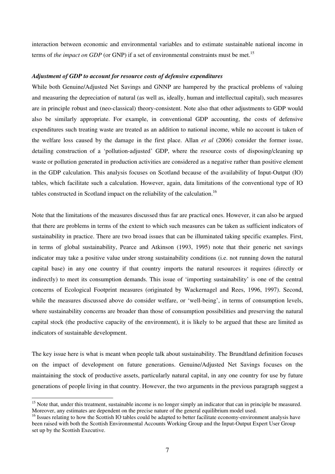interaction between economic and environmental variables and to estimate sustainable national income in terms of *the impact on GDP* (or GNP) if a set of environmental constraints must be met.<sup>15</sup>

#### *Adjustment of GDP to account for resource costs of defensive expenditures*

While both Genuine/Adjusted Net Savings and GNNP are hampered by the practical problems of valuing and measuring the depreciation of natural (as well as, ideally, human and intellectual capital), such measures are in principle robust and (neo-classical) theory-consistent. Note also that other adjustments to GDP would also be similarly appropriate. For example, in conventional GDP accounting, the costs of defensive expenditures such treating waste are treated as an addition to national income, while no account is taken of the welfare loss caused by the damage in the first place. Allan *et al* (2006) consider the former issue, detailing construction of a 'pollution-adjusted' GDP, where the resource costs of disposing/cleaning up waste or pollution generated in production activities are considered as a negative rather than positive element in the GDP calculation. This analysis focuses on Scotland because of the availability of Input-Output (IO) tables, which facilitate such a calculation. However, again, data limitations of the conventional type of IO tables constructed in Scotland impact on the reliability of the calculation.<sup>16</sup>

Note that the limitations of the measures discussed thus far are practical ones. However, it can also be argued that there are problems in terms of the extent to which such measures can be taken as sufficient indicators of sustainability in practice. There are two broad issues that can be illuminated taking specific examples. First, in terms of global sustainability, Pearce and Atkinson (1993, 1995) note that their generic net savings indicator may take a positive value under strong sustainability conditions (i.e. not running down the natural capital base) in any one country if that country imports the natural resources it requires (directly or indirectly) to meet its consumption demands. This issue of 'importing sustainability' is one of the central concerns of Ecological Footprint measures (originated by Wackernagel and Rees, 1996, 1997). Second, while the measures discussed above do consider welfare, or 'well-being', in terms of consumption levels, where sustainability concerns are broader than those of consumption possibilities and preserving the natural capital stock (the productive capacity of the environment), it is likely to be argued that these are limited as indicators of sustainable development.

The key issue here is what is meant when people talk about sustainability. The Brundtland definition focuses on the impact of development on future generations. Genuine/Adjusted Net Savings focuses on the maintaining the stock of productive assets, particularly natural capital, in any one country for use by future generations of people living in that country. However, the two arguments in the previous paragraph suggest a

 $\overline{a}$ 

<sup>&</sup>lt;sup>15</sup> Note that, under this treatment, sustainable income is no longer simply an indicator that can in principle be measured. Moreover, any estimates are dependent on the precise nature of the general equilibrium model used.

<sup>&</sup>lt;sup>16</sup> Issues relating to how the Scottish IO tables could be adapted to better facilitate economy-environment analysis have been raised with both the Scottish Environmental Accounts Working Group and the Input-Output Expert User Group set up by the Scottish Executive.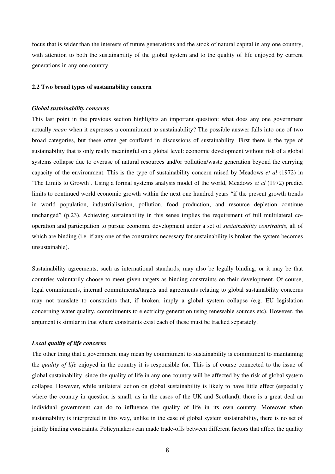focus that is wider than the interests of future generations and the stock of natural capital in any one country, with attention to both the sustainability of the global system and to the quality of life enjoyed by current generations in any one country.

## **2.2 Two broad types of sustainability concern**

# *Global sustainability concerns*

This last point in the previous section highlights an important question: what does any one government actually *mean* when it expresses a commitment to sustainability? The possible answer falls into one of two broad categories, but these often get conflated in discussions of sustainability. First there is the type of sustainability that is only really meaningful on a global level: economic development without risk of a global systems collapse due to overuse of natural resources and/or pollution/waste generation beyond the carrying capacity of the environment. This is the type of sustainability concern raised by Meadows *et al* (1972) in 'The Limits to Growth'. Using a formal systems analysis model of the world, Meadows *et al* (1972) predict limits to continued world economic growth within the next one hundred years "if the present growth trends in world population, industrialisation, pollution, food production, and resource depletion continue unchanged" (p.23). Achieving sustainability in this sense implies the requirement of full multilateral cooperation and participation to pursue economic development under a set of *sustainability constraints*, all of which are binding (i.e. if any one of the constraints necessary for sustainability is broken the system becomes unsustainable).

Sustainability agreements, such as international standards, may also be legally binding, or it may be that countries voluntarily choose to meet given targets as binding constraints on their development. Of course, legal commitments, internal commitments/targets and agreements relating to global sustainability concerns may not translate to constraints that, if broken, imply a global system collapse (e.g. EU legislation concerning water quality, commitments to electricity generation using renewable sources etc). However, the argument is similar in that where constraints exist each of these must be tracked separately.

## *Local quality of life concerns*

The other thing that a government may mean by commitment to sustainability is commitment to maintaining the *quality of life* enjoyed in the country it is responsible for. This is of course connected to the issue of global sustainability, since the quality of life in any one country will be affected by the risk of global system collapse. However, while unilateral action on global sustainability is likely to have little effect (especially where the country in question is small, as in the cases of the UK and Scotland), there is a great deal an individual government can do to influence the quality of life in its own country. Moreover when sustainability is interpreted in this way, unlike in the case of global system sustainability, there is no set of jointly binding constraints. Policymakers can made trade-offs between different factors that affect the quality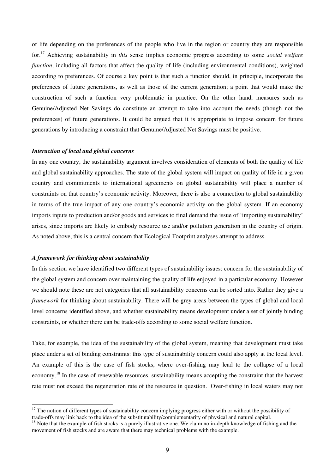of life depending on the preferences of the people who live in the region or country they are responsible for.<sup>17</sup> Achieving sustainability in *this* sense implies economic progress according to some *social welfare function*, including all factors that affect the quality of life (including environmental conditions), weighted according to preferences. Of course a key point is that such a function should, in principle, incorporate the preferences of future generations, as well as those of the current generation; a point that would make the construction of such a function very problematic in practice. On the other hand, measures such as Genuine/Adjusted Net Savings do constitute an attempt to take into account the needs (though not the preferences) of future generations. It could be argued that it is appropriate to impose concern for future generations by introducing a constraint that Genuine/Adjusted Net Savings must be positive.

# *Interaction of local and global concerns*

In any one country, the sustainability argument involves consideration of elements of both the quality of life and global sustainability approaches. The state of the global system will impact on quality of life in a given country and commitments to international agreements on global sustainability will place a number of constraints on that country's economic activity. Moreover, there is also a connection to global sustainability in terms of the true impact of any one country's economic activity on the global system. If an economy imports inputs to production and/or goods and services to final demand the issue of 'importing sustainability' arises, since imports are likely to embody resource use and/or pollution generation in the country of origin. As noted above, this is a central concern that Ecological Footprint analyses attempt to address.

# *A framework for thinking about sustainability*

 $\overline{a}$ 

In this section we have identified two different types of sustainability issues: concern for the sustainability of the global system and concern over maintaining the quality of life enjoyed in a particular economy. However we should note these are not categories that all sustainability concerns can be sorted into. Rather they give a *framework* for thinking about sustainability. There will be grey areas between the types of global and local level concerns identified above, and whether sustainability means development under a set of jointly binding constraints, or whether there can be trade-offs according to some social welfare function.

Take, for example, the idea of the sustainability of the global system, meaning that development must take place under a set of binding constraints: this type of sustainability concern could also apply at the local level. An example of this is the case of fish stocks, where over-fishing may lead to the collapse of a local economy.<sup>18</sup> In the case of renewable resources, sustainability means accepting the constraint that the harvest rate must not exceed the regeneration rate of the resource in question. Over-fishing in local waters may not

 $17$  The notion of different types of sustainability concern implying progress either with or without the possibility of trade-offs may link back to the idea of the substitutability/complementarity of physical and natural capital.

 $<sup>18</sup>$  Note that the example of fish stocks is a purely illustrative one. We claim no in-depth knowledge of fishing and the</sup> movement of fish stocks and are aware that there may technical problems with the example.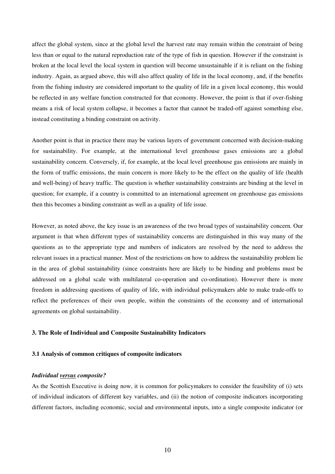affect the global system, since at the global level the harvest rate may remain within the constraint of being less than or equal to the natural reproduction rate of the type of fish in question. However if the constraint is broken at the local level the local system in question will become unsustainable if it is reliant on the fishing industry. Again, as argued above, this will also affect quality of life in the local economy, and, if the benefits from the fishing industry are considered important to the quality of life in a given local economy, this would be reflected in any welfare function constructed for that economy. However, the point is that if over-fishing means a risk of local system collapse, it becomes a factor that cannot be traded-off against something else, instead constituting a binding constraint on activity.

Another point is that in practice there may be various layers of government concerned with decision-making for sustainability. For example, at the international level greenhouse gases emissions are a global sustainability concern. Conversely, if, for example, at the local level greenhouse gas emissions are mainly in the form of traffic emissions, the main concern is more likely to be the effect on the quality of life (health and well-being) of heavy traffic. The question is whether sustainability constraints are binding at the level in question; for example, if a country is committed to an international agreement on greenhouse gas emissions then this becomes a binding constraint as well as a quality of life issue.

However, as noted above, the key issue is an awareness of the two broad types of sustainability concern. Our argument is that when different types of sustainability concerns are distinguished in this way many of the questions as to the appropriate type and numbers of indicators are resolved by the need to address the relevant issues in a practical manner. Most of the restrictions on how to address the sustainability problem lie in the area of global sustainability (since constraints here are likely to be binding and problems must be addressed on a global scale with multilateral co-operation and co-ordination). However there is more freedom in addressing questions of quality of life, with individual policymakers able to make trade-offs to reflect the preferences of their own people, within the constraints of the economy and of international agreements on global sustainability.

# **3. The Role of Individual and Composite Sustainability Indicators**

## **3.1 Analysis of common critiques of composite indicators**

## *Individual versus composite?*

As the Scottish Executive is doing now, it is common for policymakers to consider the feasibility of (i) sets of individual indicators of different key variables, and (ii) the notion of composite indicators incorporating different factors, including economic, social and environmental inputs, into a single composite indicator (or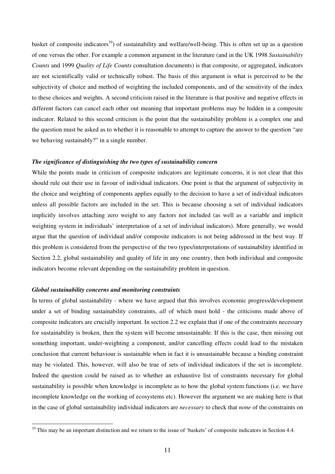basket of composite indicators<sup>19</sup>) of sustainability and welfare/well-being. This is often set up as a question of one versus the other. For example a common argument in the literature (and in the UK 1998 *Sustainability Counts* and 1999 *Quality of Life Counts* consultation documents) is that composite, or aggregated, indicators are not scientifically valid or technically robust. The basis of this argument is what is perceived to be the subjectivity of choice and method of weighting the included components, and of the sensitivity of the index to these choices and weights. A second criticism raised in the literature is that positive and negative effects in different factors can cancel each other out meaning that important problems may be hidden in a composite indicator. Related to this second criticism is the point that the sustainability problem is a complex one and the question must be asked as to whether it is reasonable to attempt to capture the answer to the question "are we behaving sustainably?" in a single number.

### *The significance of distinguishing the two types of sustainability concern*

While the points made in criticism of composite indicators are legitimate concerns, it is not clear that this should rule out their use in favour of individual indicators. One point is that the argument of subjectivity in the choice and weighting of components applies equally to the decision to have a set of individual indicators unless all possible factors are included in the set. This is because choosing a set of individual indicators implicitly involves attaching zero weight to any factors not included (as well as a variable and implicit weighting system in individuals' interpretation of a set of individual indicators). More generally, we would argue that the question of individual and/or composite indicators is not being addressed in the best way. If this problem is considered from the perspective of the two types/interpretations of sustainability identified in Section 2.2, global sustainability and quality of life in any one country, then both individual and composite indicators become relevant depending on the sustainability problem in question.

## *Global sustainability concerns and monitoring constraints*

 $\overline{a}$ 

In terms of global sustainability - where we have argued that this involves economic progress/development under a set of binding sustainability constraints, *all* of which must hold - the criticisms made above of composite indicators are crucially important. In section 2.2 we explain that if one of the constraints necessary for sustainability is broken, then the system will become unsustainable. If this is the case, then missing out something important, under-weighting a component, and/or cancelling effects could lead to the mistaken conclusion that current behaviour is sustainable when in fact it is unsustainable because a binding constraint may be violated. This, however, will also be true of sets of individual indicators if the set is incomplete. Indeed the question could be raised as to whether an exhaustive list of constraints necessary for global sustainability is possible when knowledge is incomplete as to how the global system functions (i.e. we have incomplete knowledge on the working of ecosystems etc). However the argument we are making here is that in the case of global sustainability individual indicators are *necessary* to check that *none* of the constraints on

 $19$  This may be an important distinction and we return to the issue of 'baskets' of composite indicators in Section 4.4.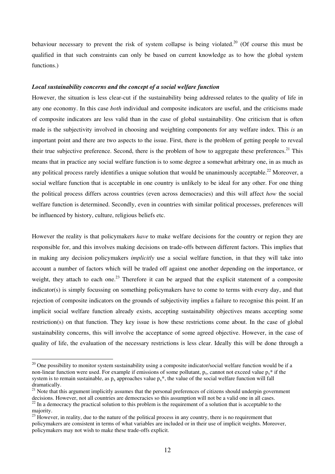behaviour necessary to prevent the risk of system collapse is being violated.<sup>20</sup> (Of course this must be qualified in that such constraints can only be based on current knowledge as to how the global system functions.)

#### *Local sustainability concerns and the concept of a social welfare function*

However, the situation is less clear-cut if the sustainability being addressed relates to the quality of life in any one economy. In this case *both* individual and composite indicators are useful, and the criticisms made of composite indicators are less valid than in the case of global sustainability. One criticism that is often made is the subjectivity involved in choosing and weighting components for any welfare index. This *is* an important point and there are two aspects to the issue. First, there is the problem of getting people to reveal their true subjective preference. Second, there is the problem of how to aggregate these preferences.<sup>21</sup> This means that in practice any social welfare function is to some degree a somewhat arbitrary one, in as much as any political process rarely identifies a unique solution that would be unanimously acceptable.<sup>22</sup> Moreover, a social welfare function that is acceptable in one country is unlikely to be ideal for any other. For one thing the political process differs across countries (even across democracies) and this will affect *how* the social welfare function is determined. Secondly, even in countries with similar political processes, preferences will be influenced by history, culture, religious beliefs etc.

However the reality is that policymakers *have* to make welfare decisions for the country or region they are responsible for, and this involves making decisions on trade-offs between different factors. This implies that in making any decision policymakers *implicitly* use a social welfare function, in that they will take into account a number of factors which will be traded off against one another depending on the importance, or weight, they attach to each one.<sup>23</sup> Therefore it can be argued that the explicit statement of a composite indicator(s) is simply focussing on something policymakers have to come to terms with every day, and that rejection of composite indicators on the grounds of subjectivity implies a failure to recognise this point. If an implicit social welfare function already exists, accepting sustainability objectives means accepting some restriction(s) on that function. They key issue is how these restrictions come about. In the case of global sustainability concerns, this will involve the acceptance of some agreed objective. However, in the case of quality of life, the evaluation of the necessary restrictions is less clear. Ideally this will be done through a

 $\overline{a}$ 

 $20$  One possibility to monitor system sustainability using a composite indicator/social welfare function would be if a non-linear function were used. For example if emissions of some pollutant,  $p_x$ , cannot not exceed value  $p_x^*$  if the system is to remain sustainable, as  $p_x$  approaches value  $p_x^*$ , the value of the social welfare function will fall dramatically.

<sup>&</sup>lt;sup>21</sup> Note that this argument implicitly assumes that the personal preferences of citizens should underpin government decisions. However, not all countries are democracies so this assumption will not be a valid one in all cases.  $22$  In a democracy the practical solution to this problem is the requirement of a solution that is acceptable to the

majority.

 $^{23}$  However, in reality, due to the nature of the political process in any country, there is no requirement that policymakers are consistent in terms of what variables are included or in their use of implicit weights. Moreover, policymakers may not wish to make these trade-offs explicit.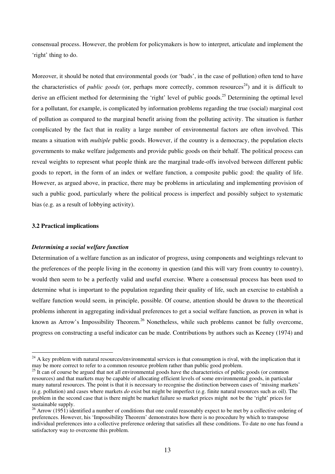consensual process. However, the problem for policymakers is how to interpret, articulate and implement the 'right' thing to do.

Moreover, it should be noted that environmental goods (or 'bads', in the case of pollution) often tend to have the characteristics of *public goods* (or, perhaps more correctly, common resources<sup>24</sup>) and it is difficult to derive an efficient method for determining the 'right' level of public goods.<sup>25</sup> Determining the optimal level for a pollutant, for example, is complicated by information problems regarding the true (social) marginal cost of pollution as compared to the marginal benefit arising from the polluting activity. The situation is further complicated by the fact that in reality a large number of environmental factors are often involved. This means a situation with *multiple* public goods. However, if the country is a democracy, the population elects governments to make welfare judgements and provide public goods on their behalf. The political process can reveal weights to represent what people think are the marginal trade-offs involved between different public goods to report, in the form of an index or welfare function, a composite public good: the quality of life. However, as argued above, in practice, there may be problems in articulating and implementing provision of such a public good, particularly where the political process is imperfect and possibly subject to systematic bias (e.g. as a result of lobbying activity).

## **3.2 Practical implications**

 $\overline{a}$ 

#### *Determining a social welfare function*

Determination of a welfare function as an indicator of progress, using components and weightings relevant to the preferences of the people living in the economy in question (and this will vary from country to country), would then seem to be a perfectly valid and useful exercise. Where a consensual process has been used to determine what is important to the population regarding their quality of life, such an exercise to establish a welfare function would seem, in principle, possible. Of course, attention should be drawn to the theoretical problems inherent in aggregating individual preferences to get a social welfare function, as proven in what is known as Arrow's Impossibility Theorem.<sup>26</sup> Nonetheless, while such problems cannot be fully overcome, progress on constructing a useful indicator can be made. Contributions by authors such as Keeney (1974) and

 $24$  A key problem with natural resources/environmental services is that consumption is rival, with the implication that it may be more correct to refer to a common resource problem rather than public good problem.

<sup>&</sup>lt;sup>25</sup> It can of course be argued that not all environmental goods have the characteristics of public goods (or common resources) and that markets may be capable of allocating efficient levels of some environmental goods, in particular many natural resources. The point is that it is necessary to recognise the distinction between cases of 'missing markets' (e.g. pollution) and cases where markets *do* exist but might be imperfect (e.g. finite natural resources such as oil). The problem in the second case that is there might be market failure so market prices might not be the 'right' prices for sustainable supply.

<sup>&</sup>lt;sup>26</sup> Arrow (1951) identified a number of conditions that one could reasonably expect to be met by a collective ordering of preferences. However, his 'Impossibility Theorem' demonstrates how there is no procedure by which to transpose individual preferences into a collective preference ordering that satisfies all these conditions. To date no one has found a satisfactory way to overcome this problem.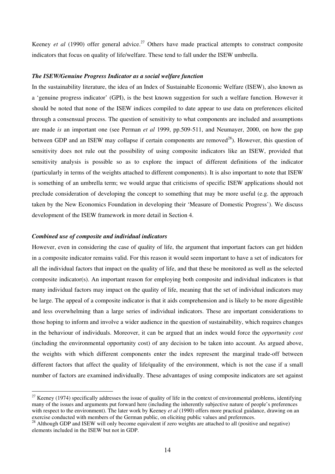Keeney *et al* (1990) offer general advice.<sup>27</sup> Others have made practical attempts to construct composite indicators that focus on quality of life/welfare. These tend to fall under the ISEW umbrella.

## *The ISEW/Genuine Progress Indicator as a social welfare function*

In the sustainability literature, the idea of an Index of Sustainable Economic Welfare (ISEW), also known as a 'genuine progress indicator' (GPI), is the best known suggestion for such a welfare function. However it should be noted that none of the ISEW indices compiled to date appear to use data on preferences elicited through a consensual process. The question of sensitivity to what components are included and assumptions are made *is* an important one (see Perman *et al* 1999, pp.509-511, and Neumayer, 2000, on how the gap between GDP and an ISEW may collapse if certain components are removed<sup>28</sup>). However, this question of sensitivity does not rule out the possibility of using composite indicators like an ISEW, provided that sensitivity analysis is possible so as to explore the impact of different definitions of the indicator (particularly in terms of the weights attached to different components). It is also important to note that ISEW is something of an umbrella term; we would argue that criticisms of specific ISEW applications should not preclude consideration of developing the concept to something that may be more useful (e.g. the approach taken by the New Economics Foundation in developing their 'Measure of Domestic Progress'). We discuss development of the ISEW framework in more detail in Section 4.

#### *Combined use of composite and individual indicators*

 $\overline{a}$ 

However, even in considering the case of quality of life, the argument that important factors can get hidden in a composite indicator remains valid. For this reason it would seem important to have a set of indicators for all the individual factors that impact on the quality of life, and that these be monitored as well as the selected composite indicator(s). An important reason for employing both composite and individual indicators is that many individual factors may impact on the quality of life, meaning that the set of individual indicators may be large. The appeal of a composite indicator is that it aids comprehension and is likely to be more digestible and less overwhelming than a large series of individual indicators. These are important considerations to those hoping to inform and involve a wider audience in the question of sustainability, which requires changes in the behaviour of individuals. Moreover, it can be argued that an index would force the *opportunity cost* (including the environmental opportunity cost) of any decision to be taken into account. As argued above, the weights with which different components enter the index represent the marginal trade-off between different factors that affect the quality of life/quality of the environment, which is not the case if a small number of factors are examined individually. These advantages of using composite indicators are set against

 $27$  Keeney (1974) specifically addresses the issue of quality of life in the context of environmental problems, identifying many of the issues and arguments put forward here (including the inherently subjective nature of people's preferences with respect to the environment). The later work by Keeney *et al* (1990) offers more practical guidance, drawing on an exercise conducted with members of the German public, on eliciting public values and preferences.

<sup>&</sup>lt;sup>28</sup> Although GDP and ISEW will only become equivalent if zero weights are attached to all (positive and negative) elements included in the ISEW but not in GDP.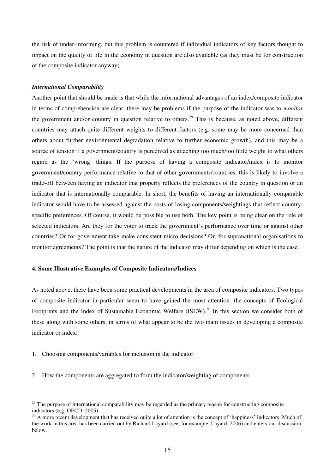the risk of under-informing, but this problem is countered if individual indicators of key factors thought to impact on the quality of life in the economy in question are also available (as they must be for construction of the composite indicator anyway).

#### *International Comparability*

Another point that should be made is that while the informational advantages of an index/composite indicator in terms of comprehension are clear, there may be problems if the purpose of the indicator was to *monitor* the government and/or country in question relative to others.<sup>29</sup> This is because, as noted above, different countries may attach quite different weights to different factors (e.g. some may be more concerned than others about further environmental degradation relative to further economic growth), and this may be a source of tension if a government/country is perceived as attaching too much/too little weight to what others regard as the 'wrong' things. If the purpose of having a composite indicator/index is to monitor government/country performance relative to that of other governments/countries, this is likely to involve a trade-off between having an indicator that properly reflects the preferences of the country in question or an indicator that is internationally comparable. In short, the benefits of having an internationally comparable indicator would have to be assessed against the costs of losing components/weightings that reflect countryspecific preferences. Of course, it would be possible to use both. The key point is being clear on the role of selected indicators. Are they for the voter to track the government's performance over time or against other countries? Or for government take make consistent micro decisions? Or, for supranational organisations to monitor agreements? The point is that the nature of the indicator may differ depending on which is the case.

# **4. Some Illustrative Examples of Composite Indicators/Indices**

As noted above, there have been some practical developments in the area of composite indicators. Two types of composite indicator in particular seem to have gained the most attention: the concepts of Ecological Footprints and the Index of Sustainable Economic Welfare (ISEW).<sup>30</sup> In this section we consider both of these along with some others, in terms of what appear to be the two main issues in developing a composite indicator or index:

1. Choosing components/variables for inclusion in the indicator

 $\overline{a}$ 

2. How the components are aggregated to form the indicator/weighting of components

<sup>&</sup>lt;sup>29</sup> The purpose of international comparability may be regarded as the primary reason for constructing composite indicators (e.g. OECD, 2005).

<sup>&</sup>lt;sup>30</sup> A more recent development that has received quite a lot of attention is the concept of 'happiness' indicators. Much of the work in this area has been carried out by Richard Layard (see, for example, Layard, 2006) and enters our discussion below.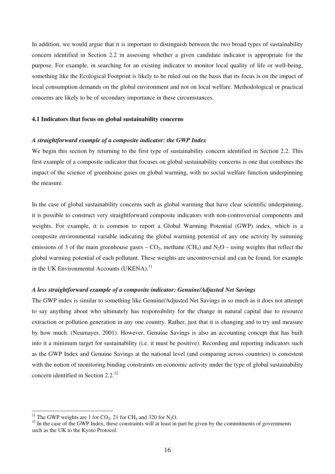In addition, we would argue that it is important to distinguish between the two broad types of sustainability concern identified in Section 2.2 in assessing whether a given candidate indicator is appropriate for the purpose. For example, in searching for an existing indicator to monitor local quality of life or well-being, something like the Ecological Footprint is likely to be ruled out on the basis that its focus is on the impact of local consumption demands on the global environment and not on local welfare. Methodological or practical concerns are likely to be of secondary importance in these circumstances.

## **4.1 Indicators that focus on global sustainability concerns**

#### *A straightforward example of a composite indicator: the GWP Index*

We begin this section by returning to the first type of sustainability concern identified in Section 2.2. This first example of a composite indicator that focuses on global sustainability concerns is one that combines the impact of the science of greenhouse gases on global warming, with no social welfare function underpinning the measure.

In the case of global sustainability concerns such as global warming that have clear scientific underpinning, it is possible to construct very straightforward composite indicators with non-controversial components and weights. For example, it is common to report a Global Warming Potential (GWP) index, which is a composite environmental variable indicating the global warming potential of any one activity by summing emissions of 3 of the main greenhouse gases –  $CO_2$ , methane (CH<sub>4</sub>) and N<sub>2</sub>O – using weights that reflect the global warming potential of each pollutant. These weights are uncontroversial and can be found, for example in the UK Environmental Accounts (UKENA). $^{31}$ 

#### *A less straightforward example of a composite indicator: Genuine/Adjusted Net Savings*

The GWP index is similar to something like Genuine/Adjusted Net Savings in so much as it does not attempt to say anything about who ultimately has responsibility for the change in natural capital due to resource extraction or pollution generation in any one country. Rather, just that it is changing and to try and measure by how much. (Neumayer, 2001). However, Genuine Savings is also an accounting concept that has built into it a minimum target for sustainability (i.e. it must be positive). Recording and reporting indicators such as the GWP Index and Genuine Savings at the national level (and comparing across countries) is consistent with the notion of monitoring binding constraints on economic activity under the type of global sustainability concern identified in Section  $2.2^{32}$ 

 $\overline{a}$ 

<sup>&</sup>lt;sup>31</sup> The GWP weights are 1 for  $CO_2$ , 21 for CH<sub>4</sub> and 320 for N<sub>2</sub>O.

 $32$  In the case of the GWP Index, these constraints will at least in part be given by the commitments of governments such as the UK to the Kyoto Protocol.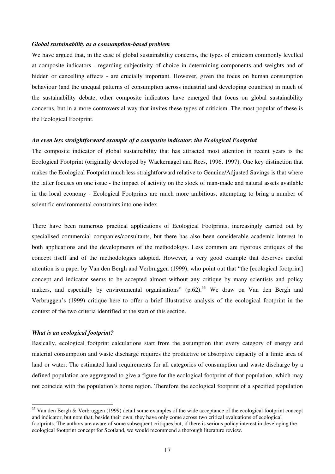#### *Global sustainability as a consumption-based problem*

We have argued that, in the case of global sustainability concerns, the types of criticism commonly levelled at composite indicators - regarding subjectivity of choice in determining components and weights and of hidden or cancelling effects - are crucially important. However, given the focus on human consumption behaviour (and the unequal patterns of consumption across industrial and developing countries) in much of the sustainability debate, other composite indicators have emerged that focus on global sustainability concerns, but in a more controversial way that invites these types of criticism. The most popular of these is the Ecological Footprint.

#### *An even less straightforward example of a composite indicator: the Ecological Footprint*

The composite indicator of global sustainability that has attracted most attention in recent years is the Ecological Footprint (originally developed by Wackernagel and Rees, 1996, 1997). One key distinction that makes the Ecological Footprint much less straightforward relative to Genuine/Adjusted Savings is that where the latter focuses on one issue - the impact of activity on the stock of man-made and natural assets available in the local economy - Ecological Footprints are much more ambitious, attempting to bring a number of scientific environmental constraints into one index.

There have been numerous practical applications of Ecological Footprints, increasingly carried out by specialised commercial companies/consultants, but there has also been considerable academic interest in both applications and the developments of the methodology. Less common are rigorous critiques of the concept itself and of the methodologies adopted. However, a very good example that deserves careful attention is a paper by Van den Bergh and Verbruggen (1999), who point out that "the [ecological footprint] concept and indicator seems to be accepted almost without any critique by many scientists and policy makers, and especially by environmental organisations"  $(p.62)$ .<sup>33</sup> We draw on Van den Bergh and Verbruggen's (1999) critique here to offer a brief illustrative analysis of the ecological footprint in the context of the two criteria identified at the start of this section.

# *What is an ecological footprint?*

 $\overline{a}$ 

Basically, ecological footprint calculations start from the assumption that every category of energy and material consumption and waste discharge requires the productive or absorptive capacity of a finite area of land or water. The estimated land requirements for all categories of consumption and waste discharge by a defined population are aggregated to give a figure for the ecological footprint of that population, which may not coincide with the population's home region. Therefore the ecological footprint of a specified population

 $33$  Van den Bergh & Verbruggen (1999) detail some examples of the wide acceptance of the ecological footprint concept and indicator, but note that, beside their own, they have only come across two critical evaluations of ecological footprints. The authors are aware of some subsequent critiques but, if there is serious policy interest in developing the ecological footprint concept for Scotland, we would recommend a thorough literature review.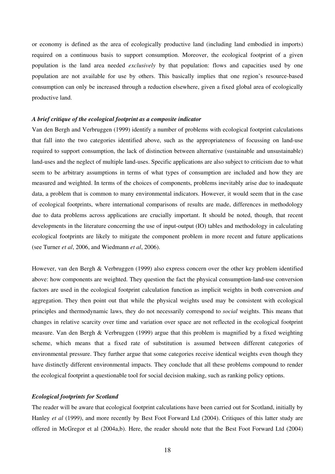or economy is defined as the area of ecologically productive land (including land embodied in imports) required on a continuous basis to support consumption. Moreover, the ecological footprint of a given population is the land area needed *exclusively* by that population: flows and capacities used by one population are not available for use by others. This basically implies that one region's resource-based consumption can only be increased through a reduction elsewhere, given a fixed global area of ecologically productive land.

#### *A brief critique of the ecological footprint as a composite indicator*

Van den Bergh and Verbruggen (1999) identify a number of problems with ecological footprint calculations that fall into the two categories identified above, such as the appropriateness of focussing on land-use required to support consumption, the lack of distinction between alternative (sustainable and unsustainable) land-uses and the neglect of multiple land-uses. Specific applications are also subject to criticism due to what seem to be arbitrary assumptions in terms of what types of consumption are included and how they are measured and weighted. In terms of the choices of components, problems inevitably arise due to inadequate data, a problem that is common to many environmental indicators. However, it would seem that in the case of ecological footprints, where international comparisons of results are made, differences in methodology due to data problems across applications are crucially important. It should be noted, though, that recent developments in the literature concerning the use of input-output (IO) tables and methodology in calculating ecological footprints are likely to mitigate the component problem in more recent and future applications (see Turner *et al*, 2006, and Wiedmann *et al*, 2006).

However, van den Bergh & Verbruggen (1999) also express concern over the other key problem identified above: how components are weighted. They question the fact the physical consumption-land-use conversion factors are used in the ecological footprint calculation function as implicit weights in both conversion *and* aggregation. They then point out that while the physical weights used may be consistent with ecological principles and thermodynamic laws, they do not necessarily correspond to *social* weights. This means that changes in relative scarcity over time and variation over space are not reflected in the ecological footprint measure. Van den Bergh & Verbruggen (1999) argue that this problem is magnified by a fixed weighting scheme, which means that a fixed rate of substitution is assumed between different categories of environmental pressure. They further argue that some categories receive identical weights even though they have distinctly different environmental impacts. They conclude that all these problems compound to render the ecological footprint a questionable tool for social decision making, such as ranking policy options.

# *Ecological footprints for Scotland*

The reader will be aware that ecological footprint calculations have been carried out for Scotland, initially by Hanley *et al* (1999), and more recently by Best Foot Forward Ltd (2004). Critiques of this latter study are offered in McGregor et al (2004a,b). Here, the reader should note that the Best Foot Forward Ltd (2004)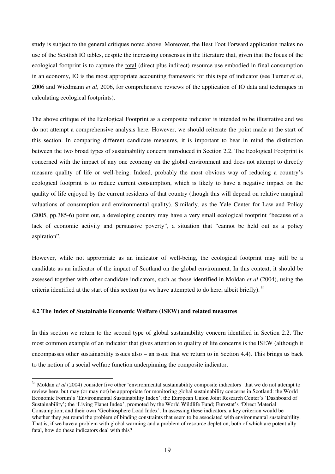study is subject to the general critiques noted above. Moreover, the Best Foot Forward application makes no use of the Scottish IO tables, despite the increasing consensus in the literature that, given that the focus of the ecological footprint is to capture the total (direct plus indirect) resource use embodied in final consumption in an economy, IO is the most appropriate accounting framework for this type of indicator (see Turner *et al*, 2006 and Wiedmann *et al*, 2006, for comprehensive reviews of the application of IO data and techniques in calculating ecological footprints).

The above critique of the Ecological Footprint as a composite indicator is intended to be illustrative and we do not attempt a comprehensive analysis here. However, we should reiterate the point made at the start of this section. In comparing different candidate measures, it is important to bear in mind the distinction between the two broad types of sustainability concern introduced in Section 2.2. The Ecological Footprint is concerned with the impact of any one economy on the global environment and does not attempt to directly measure quality of life or well-being. Indeed, probably the most obvious way of reducing a country's ecological footprint is to reduce current consumption, which is likely to have a negative impact on the quality of life enjoyed by the current residents of that country (though this will depend on relative marginal valuations of consumption and environmental quality). Similarly, as the Yale Center for Law and Policy (2005, pp.385-6) point out, a developing country may have a very small ecological footprint "because of a lack of economic activity and persuasive poverty", a situation that "cannot be held out as a policy aspiration".

However, while not appropriate as an indicator of well-being, the ecological footprint may still be a candidate as an indicator of the impact of Scotland on the global environment. In this context, it should be assessed together with other candidate indicators, such as those identified in Moldan *et al* (2004), using the criteria identified at the start of this section (as we have attempted to do here, albeit briefly).<sup>34</sup>

# **4.2 The Index of Sustainable Economic Welfare (ISEW) and related measures**

 $\overline{a}$ 

In this section we return to the second type of global sustainability concern identified in Section 2.2. The most common example of an indicator that gives attention to quality of life concerns is the ISEW (although it encompasses other sustainability issues also – an issue that we return to in Section 4.4). This brings us back to the notion of a social welfare function underpinning the composite indicator.

<sup>&</sup>lt;sup>34</sup> Moldan *et al* (2004) consider five other 'environmental sustainability composite indicators' that we do not attempt to review here, but may (or may not) be appropriate for monitoring global sustainability concerns in Scotland: the World Economic Forum's 'Environmental Sustainability Index'; the European Union Joint Research Center's 'Dashboard of Sustainability'; the 'Living Planet Index', promoted by the World Wildlife Fund; Eurostat's 'Direct Material Consumption; and their own 'Geobiosphere Load Index'. In assessing these indicators, a key criterion would be whether they get round the problem of binding constraints that seem to be associated with environmental sustainability. That is, if we have a problem with global warming and a problem of resource depletion, both of which are potentially fatal, how do these indicators deal with this?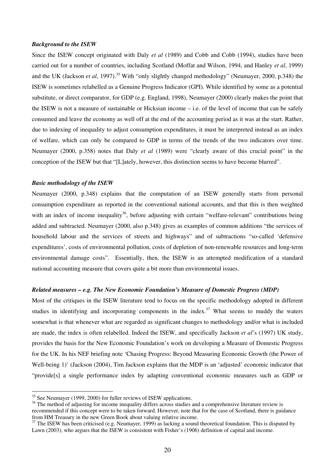#### *Background to the ISEW*

Since the ISEW concept originated with Daly *et al* (1989) and Cobb and Cobb (1994), studies have been carried out for a number of countries, including Scotland (Moffat and Wilson, 1994, and Hanley *et al*, 1999) and the UK (Jackson *et al*, 1997).<sup>35</sup> With "only slightly changed methodology" (Neumayer, 2000, p.348) the ISEW is sometimes relabelled as a Genuine Progress Indicator (GPI). While identified by some as a potential substitute, or direct comparator, for GDP (e.g. England, 1998), Neumayer (2000) clearly makes the point that the ISEW is not a measure of sustainable or Hicksian income – i.e. of the level of income that can be safely consumed and leave the economy as well off at the end of the accounting period as it was at the start. Rather, due to indexing of inequality to adjust consumption expenditures, it must be interpreted instead as an index of welfare, which can only be compared to GDP in terms of the trends of the two indicators over time. Neumayer (2000, p.358) notes that Daly *et al* (1989) were "clearly aware of this crucial point" in the conception of the ISEW but that "[L]ately, however, this distinction seems to have become blurred".

## *Basic methodology of the ISEW*

Neumayer (2000, p.348) explains that the computation of an ISEW generally starts from personal consumption expenditure as reported in the conventional national accounts, and that this is then weighted with an index of income inequality<sup>36</sup>, before adjusting with certain "welfare-relevant" contributions being added and subtracted. Neumayer (2000, also p.348) gives as examples of common additions "the services of household labour and the services of streets and highways" and of subtractions "so-called 'defensive expenditures', costs of environmental pollution, costs of depletion of non-renewable resources and long-term environmental damage costs". Essentially, then, the ISEW is an attempted modification of a standard national accounting measure that covers quite a bit more than environmental issues.

## *Related measures – e.g. The New Economic Foundation's Measure of Domestic Progress (MDP)*

Most of the critiques in the ISEW literature tend to focus on the specific methodology adopted in different studies in identifying and incorporating components in the index.<sup>37</sup> What seems to muddy the waters somewhat is that whenever what are regarded as significant changes to methodology and/or what is included are made, the index is often relabelled. Indeed the ISEW, and specifically Jackson *et al*'s (1997) UK study, provides the basis for the New Economic Foundation's work on developing a Measure of Domestic Progress for the UK. In his NEF briefing note 'Chasing Progress: Beyond Measuring Economic Growth (the Power of Well-being 1)' (Jackson (2004), Tim Jackson explains that the MDP is an 'adjusted' economic indicator that "provide[s] a single performance index by adapting conventional economic measures such as GDP or

 $\overline{a}$ 

 $35$  See Neumayer (1999, 2000) for fuller reviews of ISEW applications.

<sup>&</sup>lt;sup>36</sup> The method of adjusting for income inequality differs across studies and a comprehensive literature review is recommended if this concept were to be taken forward. However, note that for the case of Scotland, there is guidance from HM Treasury in the new Green Book about valuing relative income.

 $37$  The ISEW has been criticised (e.g. Neumayer, 1999) as lacking a sound theoretical foundation. This is disputed by Lawn (2003), who argues that the ISEW is consistent with Fisher's (1906) definition of capital and income.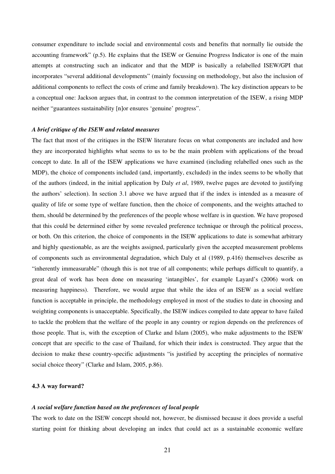consumer expenditure to include social and environmental costs and benefits that normally lie outside the accounting framework" (p.5). He explains that the ISEW or Genuine Progress Indicator is one of the main attempts at constructing such an indicator and that the MDP is basically a relabelled ISEW/GPI that incorporates "several additional developments" (mainly focussing on methodology, but also the inclusion of additional components to reflect the costs of crime and family breakdown). The key distinction appears to be a conceptual one: Jackson argues that, in contrast to the common interpretation of the ISEW, a rising MDP neither "guarantees sustainability [n]or ensures 'genuine' progress".

## *A brief critique of the ISEW and related measures*

The fact that most of the critiques in the ISEW literature focus on what components are included and how they are incorporated highlights what seems to us to be the main problem with applications of the broad concept to date. In all of the ISEW applications we have examined (including relabelled ones such as the MDP), the choice of components included (and, importantly, excluded) in the index seems to be wholly that of the authors (indeed, in the initial application by Daly *et al*, 1989, twelve pages are devoted to justifying the authors' selection). In section 3.1 above we have argued that if the index is intended as a measure of quality of life or some type of welfare function, then the choice of components, and the weights attached to them, should be determined by the preferences of the people whose welfare is in question. We have proposed that this could be determined either by some revealed preference technique or through the political process, or both. On this criterion, the choice of components in the ISEW applications to date is somewhat arbitrary and highly questionable, as are the weights assigned, particularly given the accepted measurement problems of components such as environmental degradation, which Daly et al (1989, p.416) themselves describe as "inherently immeasurable" (though this is not true of all components; while perhaps difficult to quantify, a great deal of work has been done on measuring 'intangibles', for example Layard's (2006) work on measuring happiness). Therefore, we would argue that while the idea of an ISEW as a social welfare function is acceptable in principle, the methodology employed in most of the studies to date in choosing and weighting components is unacceptable. Specifically, the ISEW indices compiled to date appear to have failed to tackle the problem that the welfare of the people in any country or region depends on the preferences of those people. That is, with the exception of Clarke and Islam (2005), who make adjustments to the ISEW concept that are specific to the case of Thailand, for which their index is constructed. They argue that the decision to make these country-specific adjustments "is justified by accepting the principles of normative social choice theory" (Clarke and Islam, 2005, p.86).

# **4.3 A way forward?**

## *A social welfare function based on the preferences of local people*

The work to date on the ISEW concept should not, however, be dismissed because it does provide a useful starting point for thinking about developing an index that could act as a sustainable economic welfare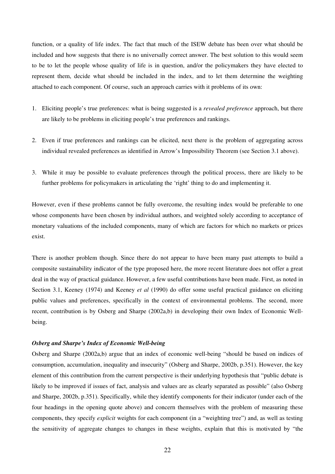function, or a quality of life index. The fact that much of the ISEW debate has been over what should be included and how suggests that there is no universally correct answer. The best solution to this would seem to be to let the people whose quality of life is in question, and/or the policymakers they have elected to represent them, decide what should be included in the index, and to let them determine the weighting attached to each component. Of course, such an approach carries with it problems of its own:

- 1. Eliciting people's true preferences: what is being suggested is a *revealed preference* approach, but there are likely to be problems in eliciting people's true preferences and rankings.
- 2. Even if true preferences and rankings can be elicited, next there is the problem of aggregating across individual revealed preferences as identified in Arrow's Impossibility Theorem (see Section 3.1 above).
- 3. While it may be possible to evaluate preferences through the political process, there are likely to be further problems for policymakers in articulating the 'right' thing to do and implementing it.

However, even if these problems cannot be fully overcome, the resulting index would be preferable to one whose components have been chosen by individual authors, and weighted solely according to acceptance of monetary valuations of the included components, many of which are factors for which no markets or prices exist.

There is another problem though. Since there do not appear to have been many past attempts to build a composite sustainability indicator of the type proposed here, the more recent literature does not offer a great deal in the way of practical guidance. However, a few useful contributions have been made. First, as noted in Section 3.1, Keeney (1974) and Keeney *et al* (1990) do offer some useful practical guidance on eliciting public values and preferences, specifically in the context of environmental problems. The second, more recent, contribution is by Osberg and Sharpe (2002a,b) in developing their own Index of Economic Wellbeing.

## *Osberg and Sharpe's Index of Economic Well-being*

Osberg and Sharpe (2002a,b) argue that an index of economic well-being "should be based on indices of consumption, accumulation, inequality and insecurity" (Osberg and Sharpe, 2002b, p.351). However, the key element of this contribution from the current perspective is their underlying hypothesis that "public debate is likely to be improved if issues of fact, analysis and values are as clearly separated as possible" (also Osberg and Sharpe, 2002b, p.351). Specifically, while they identify components for their indicator (under each of the four headings in the opening quote above) and concern themselves with the problem of measuring these components, they specify *explicit* weights for each component (in a "weighting tree") and, as well as testing the sensitivity of aggregate changes to changes in these weights, explain that this is motivated by "the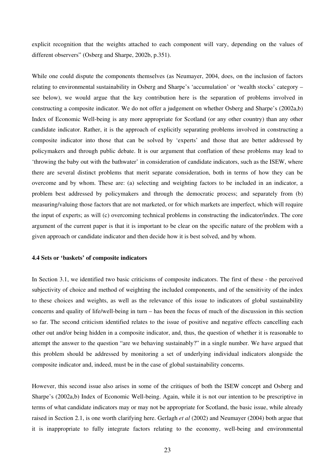explicit recognition that the weights attached to each component will vary, depending on the values of different observers" (Osberg and Sharpe, 2002b, p.351).

While one could dispute the components themselves (as Neumayer, 2004, does, on the inclusion of factors relating to environmental sustainability in Osberg and Sharpe's 'accumulation' or 'wealth stocks' category – see below), we would argue that the key contribution here is the separation of problems involved in constructing a composite indicator. We do not offer a judgement on whether Osberg and Sharpe's (2002a,b) Index of Economic Well-being is any more appropriate for Scotland (or any other country) than any other candidate indicator. Rather, it is the approach of explicitly separating problems involved in constructing a composite indicator into those that can be solved by 'experts' and those that are better addressed by policymakers and through public debate. It is our argument that conflation of these problems may lead to 'throwing the baby out with the bathwater' in consideration of candidate indicators, such as the ISEW, where there are several distinct problems that merit separate consideration, both in terms of how they can be overcome and by whom. These are: (a) selecting and weighting factors to be included in an indicator, a problem best addressed by policymakers and through the democratic process; and separately from (b) measuring/valuing those factors that are not marketed, or for which markets are imperfect, which will require the input of experts; as will (c) overcoming technical problems in constructing the indicator/index. The core argument of the current paper is that it is important to be clear on the specific nature of the problem with a given approach or candidate indicator and then decide how it is best solved, and by whom.

## **4.4 Sets or 'baskets' of composite indicators**

In Section 3.1, we identified two basic criticisms of composite indicators. The first of these - the perceived subjectivity of choice and method of weighting the included components, and of the sensitivity of the index to these choices and weights, as well as the relevance of this issue to indicators of global sustainability concerns and quality of life/well-being in turn – has been the focus of much of the discussion in this section so far. The second criticism identified relates to the issue of positive and negative effects cancelling each other out and/or being hidden in a composite indicator, and, thus, the question of whether it is reasonable to attempt the answer to the question "are we behaving sustainably?" in a single number. We have argued that this problem should be addressed by monitoring a set of underlying individual indicators alongside the composite indicator and, indeed, must be in the case of global sustainability concerns.

However, this second issue also arises in some of the critiques of both the ISEW concept and Osberg and Sharpe's (2002a,b) Index of Economic Well-being. Again, while it is not our intention to be prescriptive in terms of what candidate indicators may or may not be appropriate for Scotland, the basic issue, while already raised in Section 2.1, is one worth clarifying here. Gerlagh *et al* (2002) and Neumayer (2004) both argue that it is inappropriate to fully integrate factors relating to the economy, well-being and environmental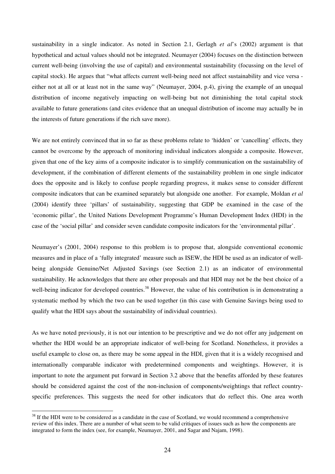sustainability in a single indicator. As noted in Section 2.1, Gerlagh *et al*'s (2002) argument is that hypothetical and actual values should not be integrated. Neumayer (2004) focuses on the distinction between current well-being (involving the use of capital) and environmental sustainability (focussing on the level of capital stock). He argues that "what affects current well-being need not affect sustainability and vice versa either not at all or at least not in the same way" (Neumayer, 2004, p.4), giving the example of an unequal distribution of income negatively impacting on well-being but not diminishing the total capital stock available to future generations (and cites evidence that an unequal distribution of income may actually be in the interests of future generations if the rich save more).

We are not entirely convinced that in so far as these problems relate to 'hidden' or 'cancelling' effects, they cannot be overcome by the approach of monitoring individual indicators alongside a composite. However, given that one of the key aims of a composite indicator is to simplify communication on the sustainability of development, if the combination of different elements of the sustainability problem in one single indicator does the opposite and is likely to confuse people regarding progress, it makes sense to consider different composite indicators that can be examined separately but alongside one another. For example, Moldan *et al* (2004) identify three 'pillars' of sustainability, suggesting that GDP be examined in the case of the 'economic pillar', the United Nations Development Programme's Human Development Index (HDI) in the case of the 'social pillar' and consider seven candidate composite indicators for the 'environmental pillar'.

Neumayer's (2001, 2004) response to this problem is to propose that, alongside conventional economic measures and in place of a 'fully integrated' measure such as ISEW, the HDI be used as an indicator of wellbeing alongside Genuine/Net Adjusted Savings (see Section 2.1) as an indicator of environmental sustainability. He acknowledges that there are other proposals and that HDI may not be the best choice of a well-being indicator for developed countries.<sup>38</sup> However, the value of his contribution is in demonstrating a systematic method by which the two can be used together (in this case with Genuine Savings being used to qualify what the HDI says about the sustainability of individual countries).

As we have noted previously, it is not our intention to be prescriptive and we do not offer any judgement on whether the HDI would be an appropriate indicator of well-being for Scotland. Nonetheless, it provides a useful example to close on, as there may be some appeal in the HDI, given that it is a widely recognised and internationally comparable indicator with predetermined components and weightings. However, it is important to note the argument put forward in Section 3.2 above that the benefits afforded by these features should be considered against the cost of the non-inclusion of components/weightings that reflect countryspecific preferences. This suggests the need for other indicators that do reflect this. One area worth

 $\overline{a}$ 

<sup>&</sup>lt;sup>38</sup> If the HDI were to be considered as a candidate in the case of Scotland, we would recommend a comprehensive review of this index. There are a number of what seem to be valid critiques of issues such as how the components are integrated to form the index (see, for example, Neumayer, 2001, and Sagar and Najam, 1998).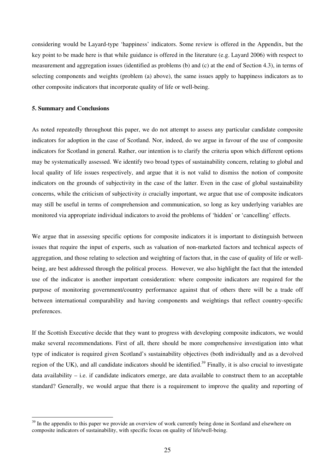considering would be Layard-type 'happiness' indicators. Some review is offered in the Appendix, but the key point to be made here is that while guidance is offered in the literature (e.g. Layard 2006) with respect to measurement and aggregation issues (identified as problems (b) and (c) at the end of Section 4.3), in terms of selecting components and weights (problem (a) above), the same issues apply to happiness indicators as to other composite indicators that incorporate quality of life or well-being.

# **5. Summary and Conclusions**

 $\overline{a}$ 

As noted repeatedly throughout this paper, we do not attempt to assess any particular candidate composite indicators for adoption in the case of Scotland. Nor, indeed, do we argue in favour of the use of composite indicators for Scotland in general. Rather, our intention is to clarify the criteria upon which different options may be systematically assessed. We identify two broad types of sustainability concern, relating to global and local quality of life issues respectively, and argue that it is not valid to dismiss the notion of composite indicators on the grounds of subjectivity in the case of the latter. Even in the case of global sustainability concerns, while the criticism of subjectivity *is* crucially important, we argue that use of composite indicators may still be useful in terms of comprehension and communication, so long as key underlying variables are monitored via appropriate individual indicators to avoid the problems of 'hidden' or 'cancelling' effects.

We argue that in assessing specific options for composite indicators it is important to distinguish between issues that require the input of experts, such as valuation of non-marketed factors and technical aspects of aggregation, and those relating to selection and weighting of factors that, in the case of quality of life or wellbeing, are best addressed through the political process. However, we also highlight the fact that the intended use of the indicator is another important consideration: where composite indicators are required for the purpose of monitoring government/country performance against that of others there will be a trade off between international comparability and having components and weightings that reflect country-specific preferences.

If the Scottish Executive decide that they want to progress with developing composite indicators, we would make several recommendations. First of all, there should be more comprehensive investigation into what type of indicator is required given Scotland's sustainability objectives (both individually and as a devolved region of the UK), and all candidate indicators should be identified.<sup>39</sup> Finally, it is also crucial to investigate data availability – i.e. if candidate indicators emerge, are data available to construct them to an acceptable standard? Generally, we would argue that there is a requirement to improve the quality and reporting of

<sup>&</sup>lt;sup>39</sup> In the appendix to this paper we provide an overview of work currently being done in Scotland and elsewhere on composite indicators of sustainability, with specific focus on quality of life/well-being.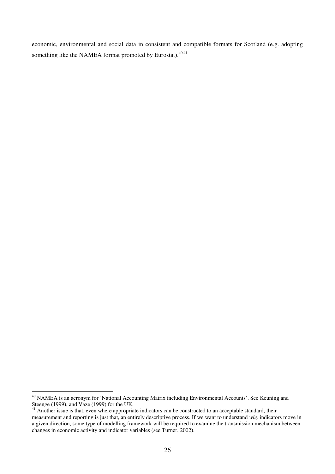economic, environmental and social data in consistent and compatible formats for Scotland (e.g. adopting something like the NAMEA format promoted by Eurostat). $40,41$ 

 $\overline{a}$ <sup>40</sup> NAMEA is an acronym for 'National Accounting Matrix including Environmental Accounts'. See Keuning and Steenge (1999), and Vaze (1999) for the UK.

 $41$  Another issue is that, even where appropriate indicators can be constructed to an acceptable standard, their measurement and reporting is just that, an entirely descriptive process. If we want to understand *why* indicators move in a given direction, some type of modelling framework will be required to examine the transmission mechanism between changes in economic activity and indicator variables (see Turner, 2002).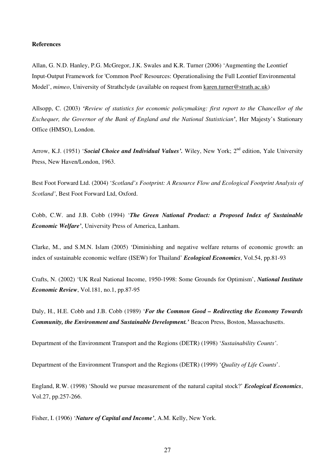### **References**

Allan, G. N.D. Hanley, P.G. McGregor, J.K. Swales and K.R. Turner (2006) 'Augmenting the Leontief Input-Output Framework for 'Common Pool' Resources: Operationalising the Full Leontief Environmental Model', *mimeo*, University of Strathclyde (available on request from karen.turner@strath.ac.uk)

Allsopp, C. (2003) *'Review of statistics for economic policymaking: first report to the Chancellor of the Exchequer, the Governor of the Bank of England and the National Statistician'*, Her Majesty's Stationary Office (HMSO), London.

Arrow, K.J. (1951) '*Social Choice and Individual Values'*. Wiley, New York; 2<sup>nd</sup> edition, Yale University Press, New Haven/London, 1963.

Best Foot Forward Ltd. (2004) '*Scotland's Footprint: A Resource Flow and Ecological Footprint Analysis of Scotland'*, Best Foot Forward Ltd, Oxford.

Cobb, C.W. and J.B. Cobb (1994) '*The Green National Product: a Proposed Index of Sustainable Economic Welfare'*, University Press of America, Lanham.

Clarke, M., and S.M.N. Islam (2005) 'Diminishing and negative welfare returns of economic growth: an index of sustainable economic welfare (ISEW) for Thailand' *Ecological Economics*, Vol.54, pp.81-93

Crafts, N. (2002) 'UK Real National Income, 1950-1998: Some Grounds for Optimism', *National Institute Economic Review*, Vol.181, no.1, pp.87-95

Daly, H., H.E. Cobb and J.B. Cobb (1989) '*For the Common Good – Redirecting the Economy Towards Community, the Environment and Sustainable Development.'* Beacon Press, Boston, Massachusetts.

Department of the Environment Transport and the Regions (DETR) (1998) '*Sustainability Counts'*.

Department of the Environment Transport and the Regions (DETR) (1999) '*Quality of Life Counts*'.

England, R.W. (1998) 'Should we pursue measurement of the natural capital stock?' *Ecological Economics*, Vol.27, pp.257-266.

Fisher, I. (1906) '*Nature of Capital and Income'*, A.M. Kelly, New York.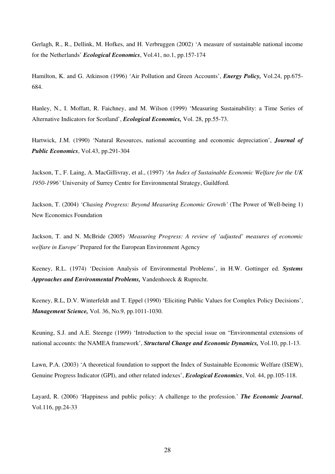Gerlagh, R., R., Dellink, M. Hofkes, and H. Verbruggen (2002) 'A measure of sustainable national income for the Netherlands' *Ecological Economics*, Vol.41, no.1, pp.157-174

Hamilton, K. and G. Atkinson (1996) 'Air Pollution and Green Accounts', *Energy Policy,* Vol.24, pp.675- 684.

Hanley, N., I. Moffatt, R. Faichney, and M. Wilson (1999) 'Measuring Sustainability: a Time Series of Alternative Indicators for Scotland', *Ecological Economics,* Vol. 28, pp.55-73.

Hartwick, J.M. (1990) 'Natural Resources, national accounting and economic depreciation', *Journal of Public Economics*, Vol.43, pp.291-304

Jackson, T., F. Laing, A. MacGillivray, et al., (1997) *'An Index of Sustainable Economic Welfare for the UK 1950-1996'* University of Surrey Centre for Environmental Strategy, Guildford.

Jackson, T. (2004) *'Chasing Progress: Beyond Measuring Economic Growth'* (The Power of Well-being 1) New Economics Foundation

Jackson, T. and N. McBride (2005) *'Measuring Progress: A review of 'adjusted' measures of economic welfare in Europe'* Prepared for the European Environment Agency

Keeney, R.L. (1974) 'Decision Analysis of Environmental Problems', in H.W. Gottinger ed. *Systems Approaches and Environmental Problems,* Vandenhoeck & Ruprecht.

Keeney, R.L, D.V. Winterfeldt and T. Eppel (1990) 'Eliciting Public Values for Complex Policy Decisions', *Management Science,* Vol. 36, No.9, pp.1011-1030.

Keuning, S.J. and A.E. Steenge (1999) 'Introduction to the special issue on "Environmental extensions of national accounts: the NAMEA framework', *Structural Change and Economic Dynamics,* Vol.10, pp.1-13.

Lawn, P.A. (2003) 'A theoretical foundation to support the Index of Sustainable Economic Welfare (ISEW), Genuine Progress Indicator (GPI), and other related indexes', *Ecological Economics*, Vol. 44, pp.105-118.

Layard, R. (2006) 'Happiness and public policy: A challenge to the profession.' *The Economic Journal*, Vol.116, pp.24-33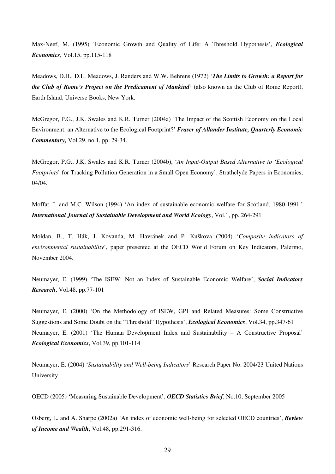Max-Neef, M. (1995) 'Economic Growth and Quality of Life: A Threshold Hypothesis', *Ecological Economics*, Vol.15, pp.115-118

Meadows, D.H., D.L. Meadows, J. Randers and W.W. Behrens (1972) '*The Limits to Growth: a Report for the Club of Rome's Project on the Predicament of Mankind'* (also known as the Club of Rome Report), Earth Island, Universe Books, New York.

McGregor, P.G., J.K. Swales and K.R. Turner (2004a) 'The Impact of the Scottish Economy on the Local Environment: an Alternative to the Ecological Footprint?' *Fraser of Allander Institute, Quarterly Economic Commentary,* Vol.29, no.1, pp. 29-34.

McGregor, P.G., J.K. Swales and K.R. Turner (2004b), '*An Input-Output Based Alternative to 'Ecological Footprints*' for Tracking Pollution Generation in a Small Open Economy', Strathclyde Papers in Economics, 04/04.

Moffat, I. and M.C. Wilson (1994) 'An index of sustainable economic welfare for Scotland, 1980-1991.' *International Journal of Sustainable Development and World Ecology*, Vol.1, pp. 264-291

Moldan, B., T. Hák, J. Kovanda, M. Havránek and P. Kuškova (2004) '*Composite indicators of environmental sustainability*', paper presented at the OECD World Forum on Key Indicators, Palermo, November 2004.

Neumayer, E. (1999) 'The ISEW: Not an Index of Sustainable Economic Welfare', *Social Indicators Research*, Vol.48, pp.77-101

Neumayer, E. (2000) 'On the Methodology of ISEW, GPI and Related Measures: Some Constructive Suggestions and Some Doubt on the "Threshold" Hypothesis', *Ecological Economics*, Vol.34, pp.347-61 Neumayer, E. (2001) 'The Human Development Index and Sustainability – A Constructive Proposal' *Ecological Economics*, Vol.39, pp.101-114

Neumayer, E. (2004) '*Sustainability and Well-being Indicators*' Research Paper No. 2004/23 United Nations University.

OECD (2005) 'Measuring Sustainable Development', *OECD Statistics Brief*, No.10, September 2005

Osberg, L. and A. Sharpe (2002a) 'An index of economic well-being for selected OECD countries', *Review of Income and Wealth*, Vol.48, pp.291-316.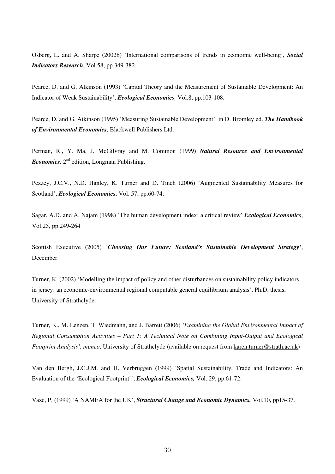Osberg, L. and A. Sharpe (2002b) 'International comparisons of trends in economic well-being', *Social Indicators Research*, Vol.58, pp.349-382.

Pearce, D. and G. Atkinson (1993) 'Capital Theory and the Measurement of Sustainable Development: An Indicator of Weak Sustainability', *Ecological Economics,* Vol.8, pp.103-108.

Pearce, D. and G. Atkinson (1995) 'Measuring Sustainable Development', in D. Bromley ed. *The Handbook of Environmental Economics,* Blackwell Publishers Ltd.

Perman, R., Y. Ma, J. McGilvray and M. Common (1999) *Natural Resource and Environmental*  Economics, 2<sup>nd</sup> edition, Longman Publishing.

Pezzey, J.C.V., N.D. Hanley, K. Turner and D. Tinch (2006) 'Augmented Sustainability Measures for Scotland', *Ecological Economics*, Vol. 57, pp.60-74.

Sagar, A.D. and A. Najam (1998) 'The human development index: a critical review' *Ecological Economics*, Vol.25, pp.249-264

Scottish Executive (2005) '*Choosing Our Future: Scotland's Sustainable Development Strategy'*, December

Turner, K. (2002) 'Modelling the impact of policy and other disturbances on sustainability policy indicators in jersey: an economic-environmental regional computable general equilibrium analysis', Ph.D. thesis, University of Strathclyde.

Turner, K., M. Lenzen, T. Wiedmann, and J. Barrett (2006) *'Examining the Global Environmental Impact of Regional Consumption Activities – Part 1: A Technical Note on Combining Input-Output and Ecological Footprint Analysis', mimeo*, University of Strathclyde (available on request from karen.turner@strath.ac.uk)

Van den Bergh, J.C.J.M. and H. Verbruggen (1999) 'Spatial Sustainability, Trade and Indicators: An Evaluation of the 'Ecological Footprint'', *Ecological Economics,* Vol. 29, pp.61-72.

Vaze, P. (1999) 'A NAMEA for the UK', *Structural Change and Economic Dynamics,* Vol.10, pp15-37.